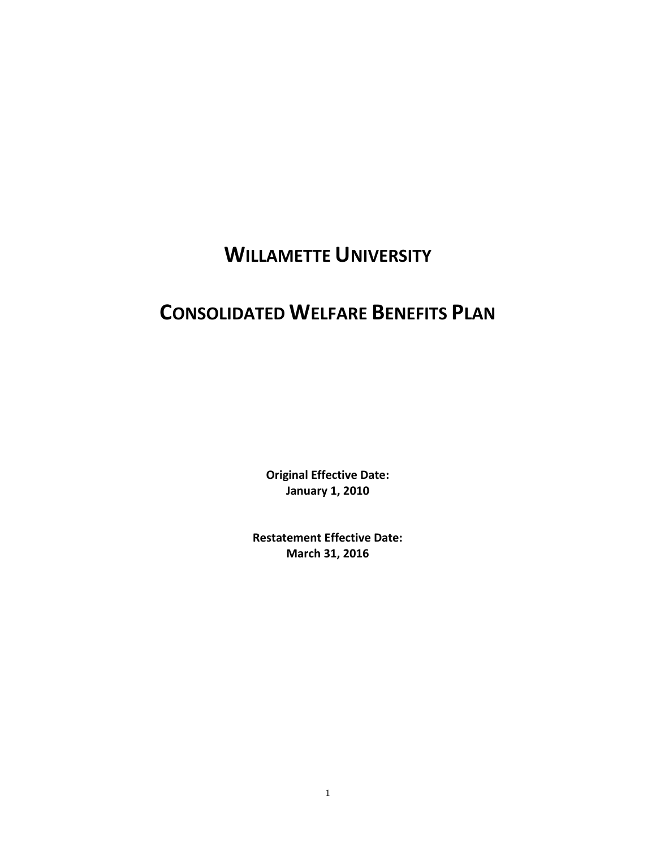# **WILLAMETTE UNIVERSITY**

# **CONSOLIDATED WELFARE BENEFITS PLAN**

**Original Effective Date: January 1, 2010**

**Restatement Effective Date: March 31, 2016**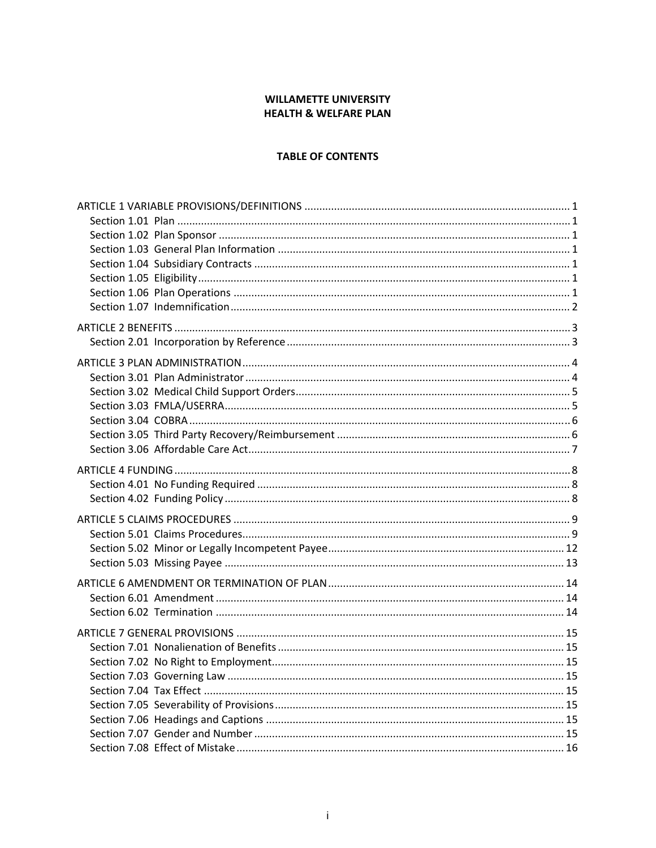# **WILLAMETTE UNIVERSITY HEALTH & WELFARE PLAN**

# **TABLE OF CONTENTS**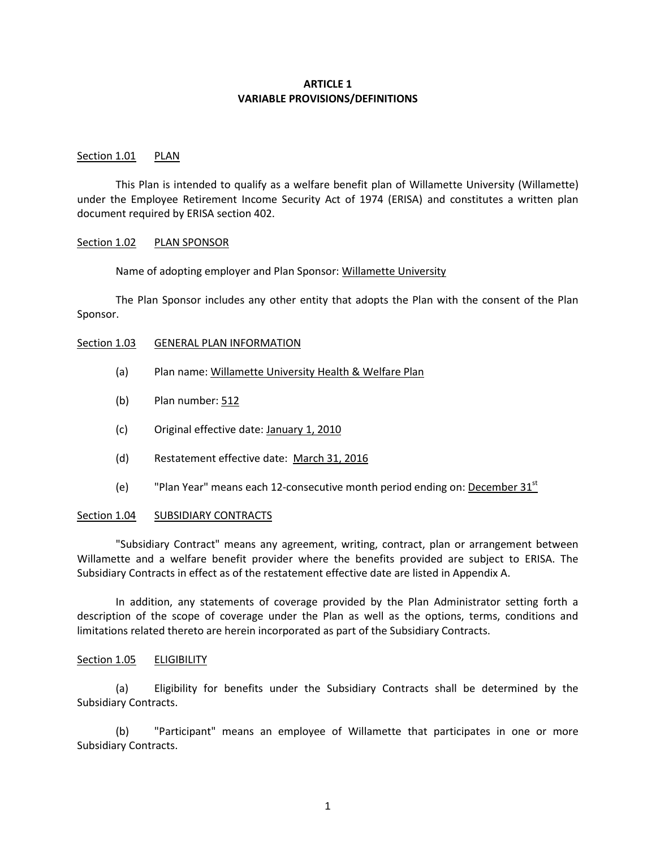## **ARTICLE 1 VARIABLE PROVISIONS/DEFINITIONS**

### Section 1.01 PLAN

This Plan is intended to qualify as a welfare benefit plan of Willamette University (Willamette) under the Employee Retirement Income Security Act of 1974 (ERISA) and constitutes a written plan document required by ERISA section 402.

#### Section 1.02 PLAN SPONSOR

Name of adopting employer and Plan Sponsor: Willamette University

The Plan Sponsor includes any other entity that adopts the Plan with the consent of the Plan Sponsor.

#### Section 1.03 GENERAL PLAN INFORMATION

- (a) Plan name: Willamette University Health & Welfare Plan
- (b) Plan number: 512
- (c) Original effective date: January 1, 2010
- (d) Restatement effective date: March 31, 2016
- (e) "Plan Year" means each 12-consecutive month period ending on: December  $31<sup>st</sup>$

#### Section 1.04 SUBSIDIARY CONTRACTS

"Subsidiary Contract" means any agreement, writing, contract, plan or arrangement between Willamette and a welfare benefit provider where the benefits provided are subject to ERISA. The Subsidiary Contracts in effect as of the restatement effective date are listed in Appendix A.

In addition, any statements of coverage provided by the Plan Administrator setting forth a description of the scope of coverage under the Plan as well as the options, terms, conditions and limitations related thereto are herein incorporated as part of the Subsidiary Contracts.

### Section 1.05 **ELIGIBILITY**

(a) Eligibility for benefits under the Subsidiary Contracts shall be determined by the Subsidiary Contracts.

(b) "Participant" means an employee of Willamette that participates in one or more Subsidiary Contracts.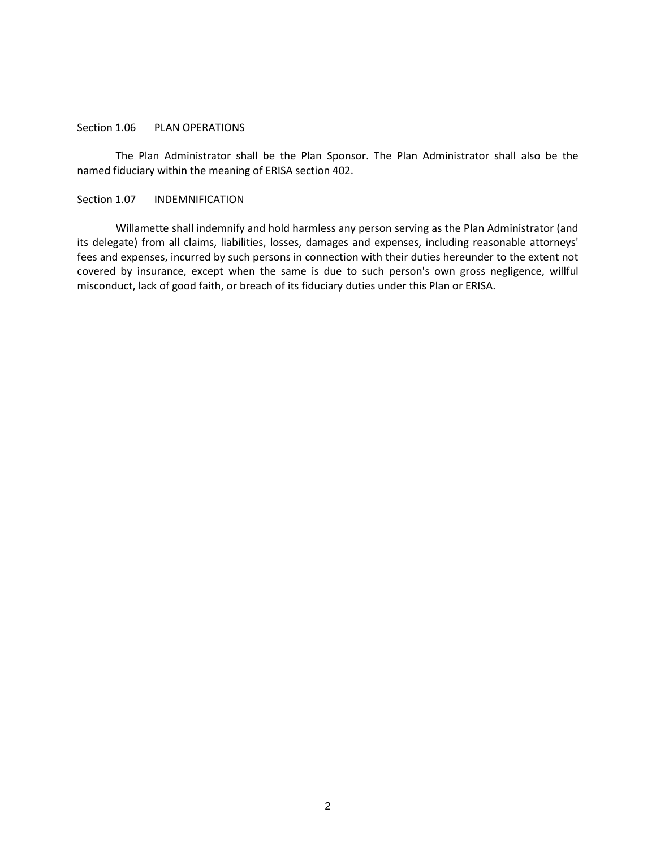## Section 1.06 PLAN OPERATIONS

The Plan Administrator shall be the Plan Sponsor. The Plan Administrator shall also be the named fiduciary within the meaning of ERISA section 402.

## Section 1.07 INDEMNIFICATION

Willamette shall indemnify and hold harmless any person serving as the Plan Administrator (and its delegate) from all claims, liabilities, losses, damages and expenses, including reasonable attorneys' fees and expenses, incurred by such persons in connection with their duties hereunder to the extent not covered by insurance, except when the same is due to such person's own gross negligence, willful misconduct, lack of good faith, or breach of its fiduciary duties under this Plan or ERISA.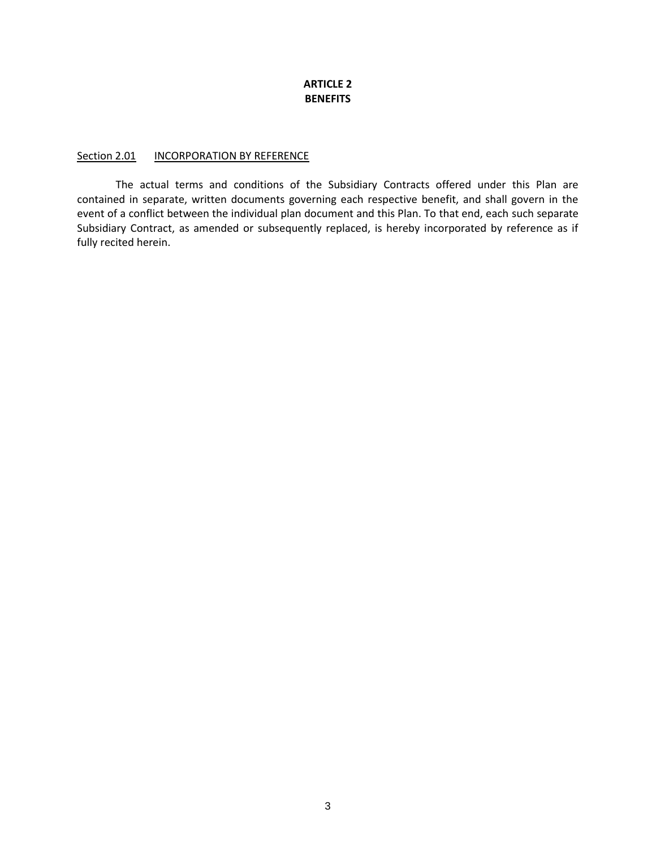# **ARTICLE 2 BENEFITS**

## Section 2.01 INCORPORATION BY REFERENCE

The actual terms and conditions of the Subsidiary Contracts offered under this Plan are contained in separate, written documents governing each respective benefit, and shall govern in the event of a conflict between the individual plan document and this Plan. To that end, each such separate Subsidiary Contract, as amended or subsequently replaced, is hereby incorporated by reference as if fully recited herein.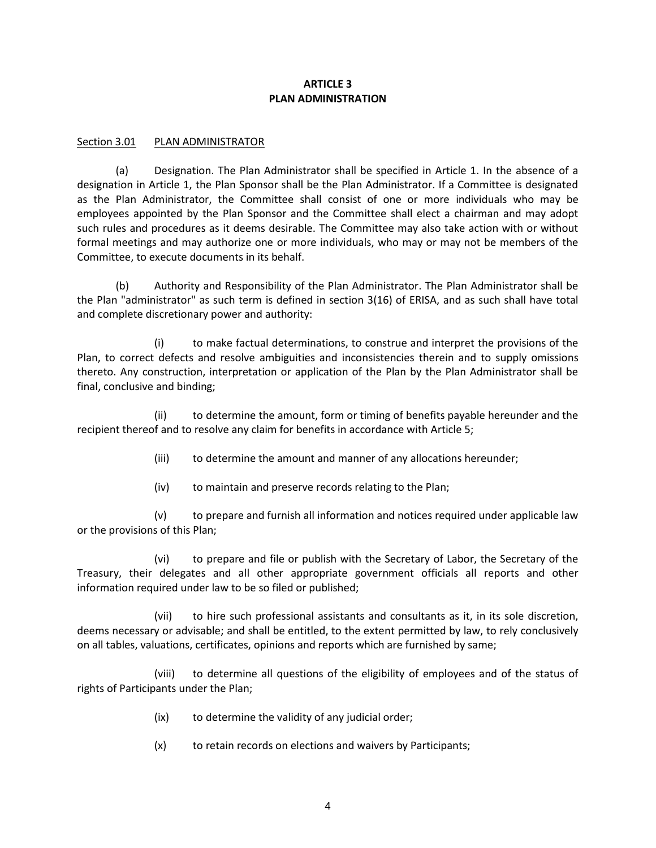# **ARTICLE 3 PLAN ADMINISTRATION**

# Section 3.01 PLAN ADMINISTRATOR

(a) Designation. The Plan Administrator shall be specified in Article 1. In the absence of a designation in Article 1, the Plan Sponsor shall be the Plan Administrator. If a Committee is designated as the Plan Administrator, the Committee shall consist of one or more individuals who may be employees appointed by the Plan Sponsor and the Committee shall elect a chairman and may adopt such rules and procedures as it deems desirable. The Committee may also take action with or without formal meetings and may authorize one or more individuals, who may or may not be members of the Committee, to execute documents in its behalf.

(b) Authority and Responsibility of the Plan Administrator. The Plan Administrator shall be the Plan "administrator" as such term is defined in section 3(16) of ERISA, and as such shall have total and complete discretionary power and authority:

(i) to make factual determinations, to construe and interpret the provisions of the Plan, to correct defects and resolve ambiguities and inconsistencies therein and to supply omissions thereto. Any construction, interpretation or application of the Plan by the Plan Administrator shall be final, conclusive and binding;

(ii) to determine the amount, form or timing of benefits payable hereunder and the recipient thereof and to resolve any claim for benefits in accordance with Article 5;

- (iii) to determine the amount and manner of any allocations hereunder;
- (iv) to maintain and preserve records relating to the Plan;

(v) to prepare and furnish all information and notices required under applicable law or the provisions of this Plan;

(vi) to prepare and file or publish with the Secretary of Labor, the Secretary of the Treasury, their delegates and all other appropriate government officials all reports and other information required under law to be so filed or published;

(vii) to hire such professional assistants and consultants as it, in its sole discretion, deems necessary or advisable; and shall be entitled, to the extent permitted by law, to rely conclusively on all tables, valuations, certificates, opinions and reports which are furnished by same;

(viii) to determine all questions of the eligibility of employees and of the status of rights of Participants under the Plan;

- (ix) to determine the validity of any judicial order;
- (x) to retain records on elections and waivers by Participants;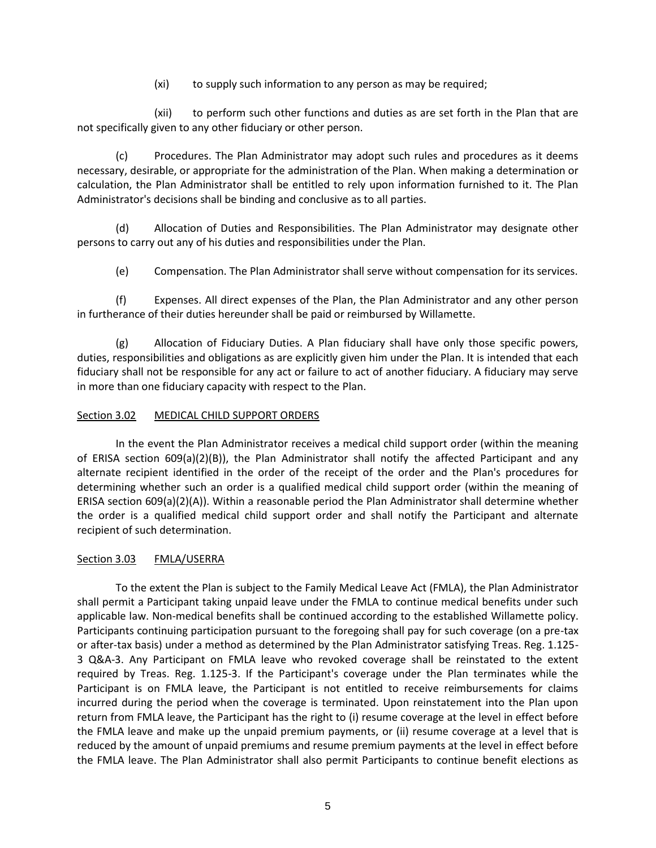(xi) to supply such information to any person as may be required;

(xii) to perform such other functions and duties as are set forth in the Plan that are not specifically given to any other fiduciary or other person.

(c) Procedures. The Plan Administrator may adopt such rules and procedures as it deems necessary, desirable, or appropriate for the administration of the Plan. When making a determination or calculation, the Plan Administrator shall be entitled to rely upon information furnished to it. The Plan Administrator's decisions shall be binding and conclusive as to all parties.

(d) Allocation of Duties and Responsibilities. The Plan Administrator may designate other persons to carry out any of his duties and responsibilities under the Plan.

(e) Compensation. The Plan Administrator shall serve without compensation for its services.

(f) Expenses. All direct expenses of the Plan, the Plan Administrator and any other person in furtherance of their duties hereunder shall be paid or reimbursed by Willamette.

(g) Allocation of Fiduciary Duties. A Plan fiduciary shall have only those specific powers, duties, responsibilities and obligations as are explicitly given him under the Plan. It is intended that each fiduciary shall not be responsible for any act or failure to act of another fiduciary. A fiduciary may serve in more than one fiduciary capacity with respect to the Plan.

# Section 3.02 MEDICAL CHILD SUPPORT ORDERS

In the event the Plan Administrator receives a medical child support order (within the meaning of ERISA section 609(a)(2)(B)), the Plan Administrator shall notify the affected Participant and any alternate recipient identified in the order of the receipt of the order and the Plan's procedures for determining whether such an order is a qualified medical child support order (within the meaning of ERISA section 609(a)(2)(A)). Within a reasonable period the Plan Administrator shall determine whether the order is a qualified medical child support order and shall notify the Participant and alternate recipient of such determination.

# Section 3.03 FMLA/USERRA

To the extent the Plan is subject to the Family Medical Leave Act (FMLA), the Plan Administrator shall permit a Participant taking unpaid leave under the FMLA to continue medical benefits under such applicable law. Non-medical benefits shall be continued according to the established Willamette policy. Participants continuing participation pursuant to the foregoing shall pay for such coverage (on a pre-tax or after-tax basis) under a method as determined by the Plan Administrator satisfying Treas. Reg. 1.125- 3 Q&A-3. Any Participant on FMLA leave who revoked coverage shall be reinstated to the extent required by Treas. Reg. 1.125-3. If the Participant's coverage under the Plan terminates while the Participant is on FMLA leave, the Participant is not entitled to receive reimbursements for claims incurred during the period when the coverage is terminated. Upon reinstatement into the Plan upon return from FMLA leave, the Participant has the right to (i) resume coverage at the level in effect before the FMLA leave and make up the unpaid premium payments, or (ii) resume coverage at a level that is reduced by the amount of unpaid premiums and resume premium payments at the level in effect before the FMLA leave. The Plan Administrator shall also permit Participants to continue benefit elections as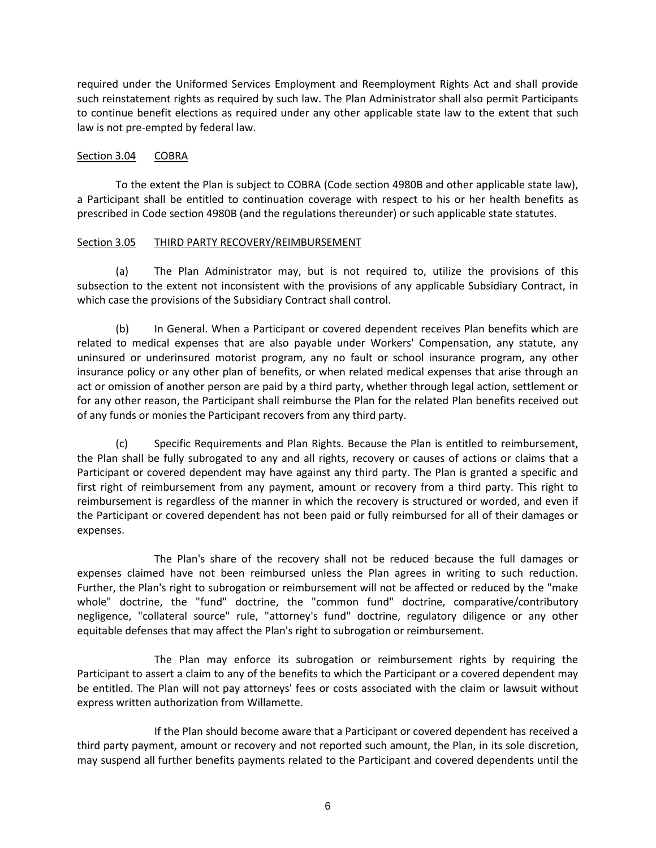required under the Uniformed Services Employment and Reemployment Rights Act and shall provide such reinstatement rights as required by such law. The Plan Administrator shall also permit Participants to continue benefit elections as required under any other applicable state law to the extent that such law is not pre-empted by federal law.

# Section 3.04 COBRA

To the extent the Plan is subject to COBRA (Code section 4980B and other applicable state law), a Participant shall be entitled to continuation coverage with respect to his or her health benefits as prescribed in Code section 4980B (and the regulations thereunder) or such applicable state statutes.

# Section 3.05 THIRD PARTY RECOVERY/REIMBURSEMENT

(a) The Plan Administrator may, but is not required to, utilize the provisions of this subsection to the extent not inconsistent with the provisions of any applicable Subsidiary Contract, in which case the provisions of the Subsidiary Contract shall control.

(b) In General. When a Participant or covered dependent receives Plan benefits which are related to medical expenses that are also payable under Workers' Compensation, any statute, any uninsured or underinsured motorist program, any no fault or school insurance program, any other insurance policy or any other plan of benefits, or when related medical expenses that arise through an act or omission of another person are paid by a third party, whether through legal action, settlement or for any other reason, the Participant shall reimburse the Plan for the related Plan benefits received out of any funds or monies the Participant recovers from any third party.

(c) Specific Requirements and Plan Rights. Because the Plan is entitled to reimbursement, the Plan shall be fully subrogated to any and all rights, recovery or causes of actions or claims that a Participant or covered dependent may have against any third party. The Plan is granted a specific and first right of reimbursement from any payment, amount or recovery from a third party. This right to reimbursement is regardless of the manner in which the recovery is structured or worded, and even if the Participant or covered dependent has not been paid or fully reimbursed for all of their damages or expenses.

The Plan's share of the recovery shall not be reduced because the full damages or expenses claimed have not been reimbursed unless the Plan agrees in writing to such reduction. Further, the Plan's right to subrogation or reimbursement will not be affected or reduced by the "make whole" doctrine, the "fund" doctrine, the "common fund" doctrine, comparative/contributory negligence, "collateral source" rule, "attorney's fund" doctrine, regulatory diligence or any other equitable defenses that may affect the Plan's right to subrogation or reimbursement.

The Plan may enforce its subrogation or reimbursement rights by requiring the Participant to assert a claim to any of the benefits to which the Participant or a covered dependent may be entitled. The Plan will not pay attorneys' fees or costs associated with the claim or lawsuit without express written authorization from Willamette.

If the Plan should become aware that a Participant or covered dependent has received a third party payment, amount or recovery and not reported such amount, the Plan, in its sole discretion, may suspend all further benefits payments related to the Participant and covered dependents until the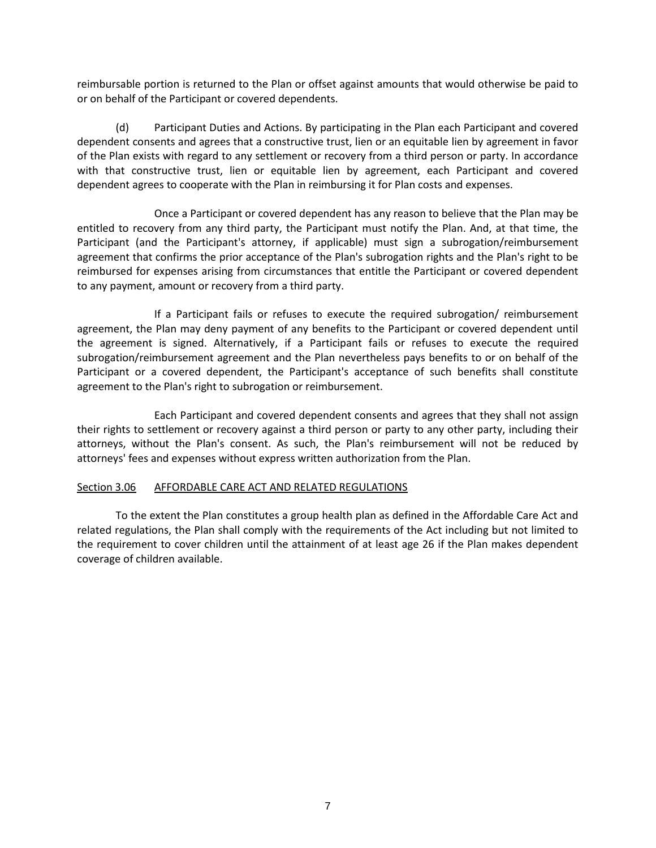reimbursable portion is returned to the Plan or offset against amounts that would otherwise be paid to or on behalf of the Participant or covered dependents.

(d) Participant Duties and Actions. By participating in the Plan each Participant and covered dependent consents and agrees that a constructive trust, lien or an equitable lien by agreement in favor of the Plan exists with regard to any settlement or recovery from a third person or party. In accordance with that constructive trust, lien or equitable lien by agreement, each Participant and covered dependent agrees to cooperate with the Plan in reimbursing it for Plan costs and expenses.

Once a Participant or covered dependent has any reason to believe that the Plan may be entitled to recovery from any third party, the Participant must notify the Plan. And, at that time, the Participant (and the Participant's attorney, if applicable) must sign a subrogation/reimbursement agreement that confirms the prior acceptance of the Plan's subrogation rights and the Plan's right to be reimbursed for expenses arising from circumstances that entitle the Participant or covered dependent to any payment, amount or recovery from a third party.

If a Participant fails or refuses to execute the required subrogation/ reimbursement agreement, the Plan may deny payment of any benefits to the Participant or covered dependent until the agreement is signed. Alternatively, if a Participant fails or refuses to execute the required subrogation/reimbursement agreement and the Plan nevertheless pays benefits to or on behalf of the Participant or a covered dependent, the Participant's acceptance of such benefits shall constitute agreement to the Plan's right to subrogation or reimbursement.

Each Participant and covered dependent consents and agrees that they shall not assign their rights to settlement or recovery against a third person or party to any other party, including their attorneys, without the Plan's consent. As such, the Plan's reimbursement will not be reduced by attorneys' fees and expenses without express written authorization from the Plan.

# Section 3.06 AFFORDABLE CARE ACT AND RELATED REGULATIONS

To the extent the Plan constitutes a group health plan as defined in the Affordable Care Act and related regulations, the Plan shall comply with the requirements of the Act including but not limited to the requirement to cover children until the attainment of at least age 26 if the Plan makes dependent coverage of children available.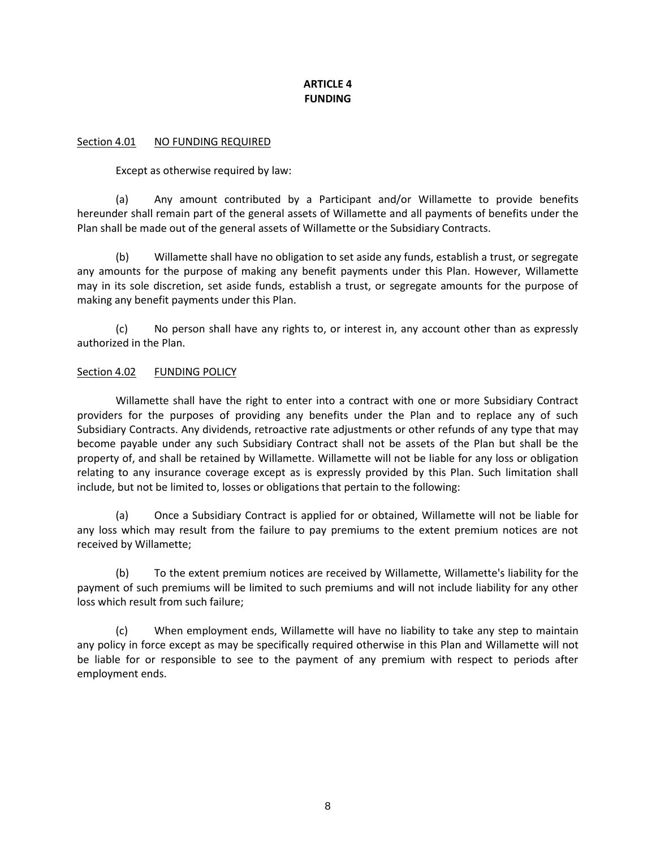# **ARTICLE 4 FUNDING**

# Section 4.01 NO FUNDING REQUIRED

Except as otherwise required by law:

(a) Any amount contributed by a Participant and/or Willamette to provide benefits hereunder shall remain part of the general assets of Willamette and all payments of benefits under the Plan shall be made out of the general assets of Willamette or the Subsidiary Contracts.

(b) Willamette shall have no obligation to set aside any funds, establish a trust, or segregate any amounts for the purpose of making any benefit payments under this Plan. However, Willamette may in its sole discretion, set aside funds, establish a trust, or segregate amounts for the purpose of making any benefit payments under this Plan.

(c) No person shall have any rights to, or interest in, any account other than as expressly authorized in the Plan.

# Section 4.02 FUNDING POLICY

Willamette shall have the right to enter into a contract with one or more Subsidiary Contract providers for the purposes of providing any benefits under the Plan and to replace any of such Subsidiary Contracts. Any dividends, retroactive rate adjustments or other refunds of any type that may become payable under any such Subsidiary Contract shall not be assets of the Plan but shall be the property of, and shall be retained by Willamette. Willamette will not be liable for any loss or obligation relating to any insurance coverage except as is expressly provided by this Plan. Such limitation shall include, but not be limited to, losses or obligations that pertain to the following:

(a) Once a Subsidiary Contract is applied for or obtained, Willamette will not be liable for any loss which may result from the failure to pay premiums to the extent premium notices are not received by Willamette;

(b) To the extent premium notices are received by Willamette, Willamette's liability for the payment of such premiums will be limited to such premiums and will not include liability for any other loss which result from such failure;

(c) When employment ends, Willamette will have no liability to take any step to maintain any policy in force except as may be specifically required otherwise in this Plan and Willamette will not be liable for or responsible to see to the payment of any premium with respect to periods after employment ends.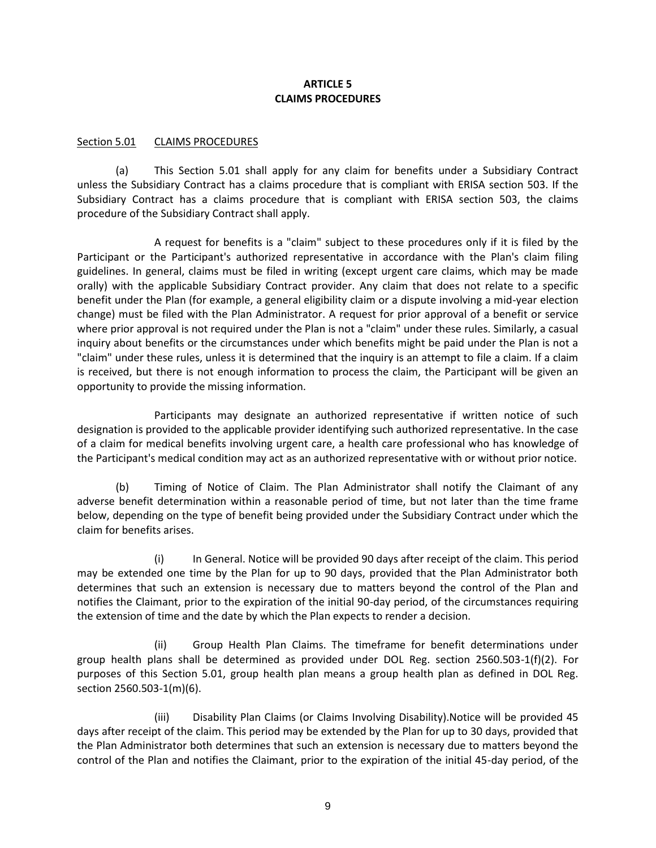# **ARTICLE 5 CLAIMS PROCEDURES**

# Section 5.01 CLAIMS PROCEDURES

(a) This Section 5.01 shall apply for any claim for benefits under a Subsidiary Contract unless the Subsidiary Contract has a claims procedure that is compliant with ERISA section 503. If the Subsidiary Contract has a claims procedure that is compliant with ERISA section 503, the claims procedure of the Subsidiary Contract shall apply.

A request for benefits is a "claim" subject to these procedures only if it is filed by the Participant or the Participant's authorized representative in accordance with the Plan's claim filing guidelines. In general, claims must be filed in writing (except urgent care claims, which may be made orally) with the applicable Subsidiary Contract provider. Any claim that does not relate to a specific benefit under the Plan (for example, a general eligibility claim or a dispute involving a mid-year election change) must be filed with the Plan Administrator. A request for prior approval of a benefit or service where prior approval is not required under the Plan is not a "claim" under these rules. Similarly, a casual inquiry about benefits or the circumstances under which benefits might be paid under the Plan is not a "claim" under these rules, unless it is determined that the inquiry is an attempt to file a claim. If a claim is received, but there is not enough information to process the claim, the Participant will be given an opportunity to provide the missing information.

Participants may designate an authorized representative if written notice of such designation is provided to the applicable provider identifying such authorized representative. In the case of a claim for medical benefits involving urgent care, a health care professional who has knowledge of the Participant's medical condition may act as an authorized representative with or without prior notice.

(b) Timing of Notice of Claim. The Plan Administrator shall notify the Claimant of any adverse benefit determination within a reasonable period of time, but not later than the time frame below, depending on the type of benefit being provided under the Subsidiary Contract under which the claim for benefits arises.

(i) In General. Notice will be provided 90 days after receipt of the claim. This period may be extended one time by the Plan for up to 90 days, provided that the Plan Administrator both determines that such an extension is necessary due to matters beyond the control of the Plan and notifies the Claimant, prior to the expiration of the initial 90-day period, of the circumstances requiring the extension of time and the date by which the Plan expects to render a decision.

(ii) Group Health Plan Claims. The timeframe for benefit determinations under group health plans shall be determined as provided under DOL Reg. section 2560.503-1(f)(2). For purposes of this Section 5.01, group health plan means a group health plan as defined in DOL Reg. section 2560.503-1(m)(6).

(iii) Disability Plan Claims (or Claims Involving Disability).Notice will be provided 45 days after receipt of the claim. This period may be extended by the Plan for up to 30 days, provided that the Plan Administrator both determines that such an extension is necessary due to matters beyond the control of the Plan and notifies the Claimant, prior to the expiration of the initial 45-day period, of the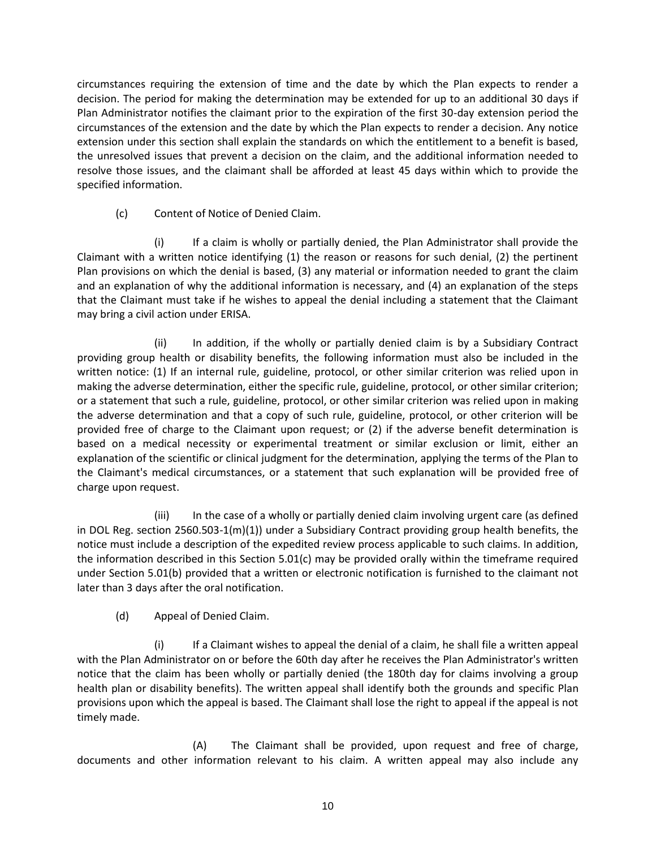circumstances requiring the extension of time and the date by which the Plan expects to render a decision. The period for making the determination may be extended for up to an additional 30 days if Plan Administrator notifies the claimant prior to the expiration of the first 30-day extension period the circumstances of the extension and the date by which the Plan expects to render a decision. Any notice extension under this section shall explain the standards on which the entitlement to a benefit is based, the unresolved issues that prevent a decision on the claim, and the additional information needed to resolve those issues, and the claimant shall be afforded at least 45 days within which to provide the specified information.

(c) Content of Notice of Denied Claim.

If a claim is wholly or partially denied, the Plan Administrator shall provide the Claimant with a written notice identifying (1) the reason or reasons for such denial, (2) the pertinent Plan provisions on which the denial is based, (3) any material or information needed to grant the claim and an explanation of why the additional information is necessary, and (4) an explanation of the steps that the Claimant must take if he wishes to appeal the denial including a statement that the Claimant may bring a civil action under ERISA.

(ii) In addition, if the wholly or partially denied claim is by a Subsidiary Contract providing group health or disability benefits, the following information must also be included in the written notice: (1) If an internal rule, guideline, protocol, or other similar criterion was relied upon in making the adverse determination, either the specific rule, guideline, protocol, or other similar criterion; or a statement that such a rule, guideline, protocol, or other similar criterion was relied upon in making the adverse determination and that a copy of such rule, guideline, protocol, or other criterion will be provided free of charge to the Claimant upon request; or (2) if the adverse benefit determination is based on a medical necessity or experimental treatment or similar exclusion or limit, either an explanation of the scientific or clinical judgment for the determination, applying the terms of the Plan to the Claimant's medical circumstances, or a statement that such explanation will be provided free of charge upon request.

(iii) In the case of a wholly or partially denied claim involving urgent care (as defined in DOL Reg. section 2560.503-1(m)(1)) under a Subsidiary Contract providing group health benefits, the notice must include a description of the expedited review process applicable to such claims. In addition, the information described in this Section 5.01(c) may be provided orally within the timeframe required under Section 5.01(b) provided that a written or electronic notification is furnished to the claimant not later than 3 days after the oral notification.

(d) Appeal of Denied Claim.

(i) If a Claimant wishes to appeal the denial of a claim, he shall file a written appeal with the Plan Administrator on or before the 60th day after he receives the Plan Administrator's written notice that the claim has been wholly or partially denied (the 180th day for claims involving a group health plan or disability benefits). The written appeal shall identify both the grounds and specific Plan provisions upon which the appeal is based. The Claimant shall lose the right to appeal if the appeal is not timely made.

(A) The Claimant shall be provided, upon request and free of charge, documents and other information relevant to his claim. A written appeal may also include any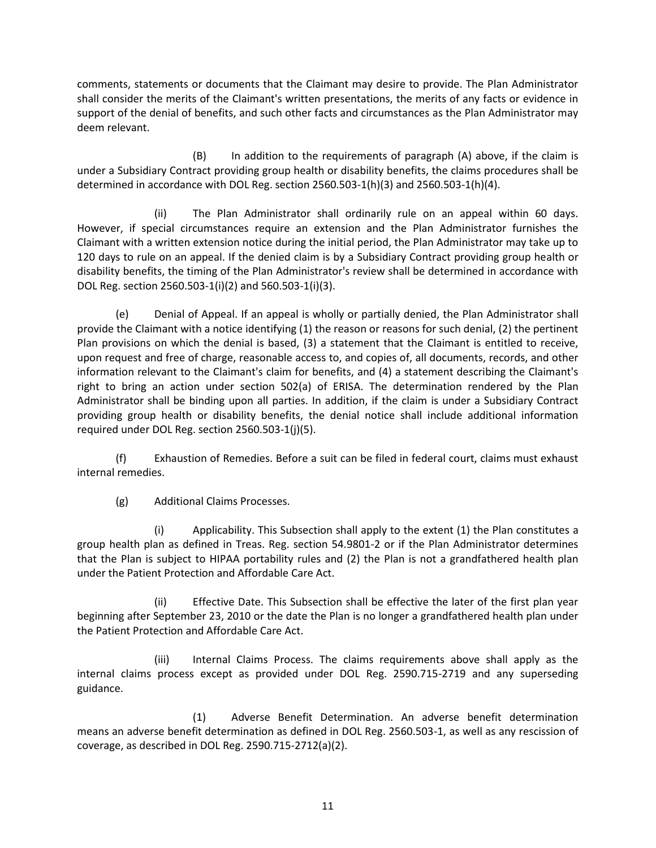comments, statements or documents that the Claimant may desire to provide. The Plan Administrator shall consider the merits of the Claimant's written presentations, the merits of any facts or evidence in support of the denial of benefits, and such other facts and circumstances as the Plan Administrator may deem relevant.

(B) In addition to the requirements of paragraph (A) above, if the claim is under a Subsidiary Contract providing group health or disability benefits, the claims procedures shall be determined in accordance with DOL Reg. section 2560.503-1(h)(3) and 2560.503-1(h)(4).

(ii) The Plan Administrator shall ordinarily rule on an appeal within 60 days. However, if special circumstances require an extension and the Plan Administrator furnishes the Claimant with a written extension notice during the initial period, the Plan Administrator may take up to 120 days to rule on an appeal. If the denied claim is by a Subsidiary Contract providing group health or disability benefits, the timing of the Plan Administrator's review shall be determined in accordance with DOL Reg. section 2560.503-1(i)(2) and 560.503-1(i)(3).

(e) Denial of Appeal. If an appeal is wholly or partially denied, the Plan Administrator shall provide the Claimant with a notice identifying (1) the reason or reasons for such denial, (2) the pertinent Plan provisions on which the denial is based, (3) a statement that the Claimant is entitled to receive, upon request and free of charge, reasonable access to, and copies of, all documents, records, and other information relevant to the Claimant's claim for benefits, and (4) a statement describing the Claimant's right to bring an action under section 502(a) of ERISA. The determination rendered by the Plan Administrator shall be binding upon all parties. In addition, if the claim is under a Subsidiary Contract providing group health or disability benefits, the denial notice shall include additional information required under DOL Reg. section 2560.503-1(j)(5).

(f) Exhaustion of Remedies. Before a suit can be filed in federal court, claims must exhaust internal remedies.

(g) Additional Claims Processes.

(i) Applicability. This Subsection shall apply to the extent (1) the Plan constitutes a group health plan as defined in Treas. Reg. section 54.9801-2 or if the Plan Administrator determines that the Plan is subject to HIPAA portability rules and (2) the Plan is not a grandfathered health plan under the Patient Protection and Affordable Care Act.

(ii) Effective Date. This Subsection shall be effective the later of the first plan year beginning after September 23, 2010 or the date the Plan is no longer a grandfathered health plan under the Patient Protection and Affordable Care Act.

(iii) Internal Claims Process. The claims requirements above shall apply as the internal claims process except as provided under DOL Reg. 2590.715-2719 and any superseding guidance.

(1) Adverse Benefit Determination. An adverse benefit determination means an adverse benefit determination as defined in DOL Reg. 2560.503-1, as well as any rescission of coverage, as described in DOL Reg. 2590.715-2712(a)(2).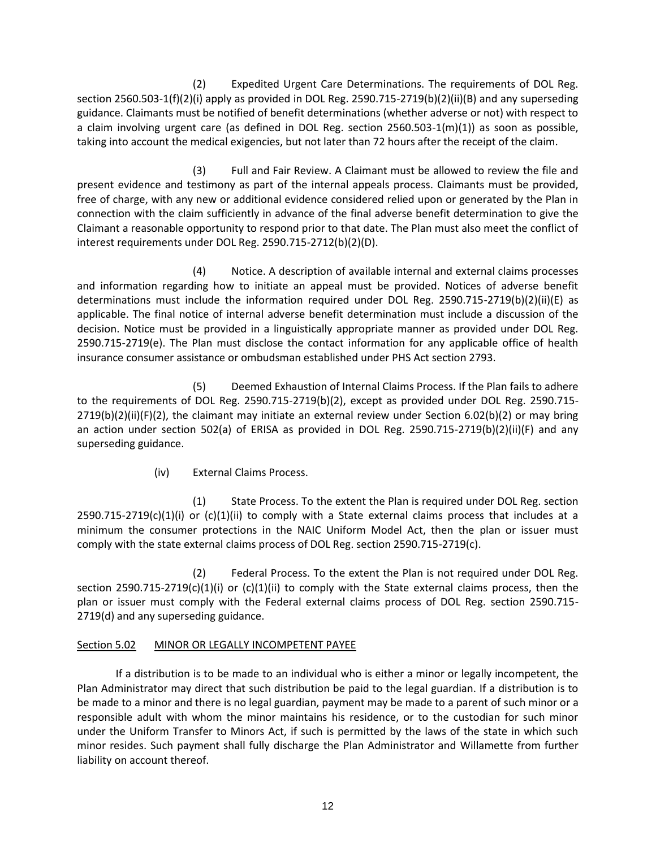(2) Expedited Urgent Care Determinations. The requirements of DOL Reg. section 2560.503-1(f)(2)(i) apply as provided in DOL Reg. 2590.715-2719(b)(2)(ii)(B) and any superseding guidance. Claimants must be notified of benefit determinations (whether adverse or not) with respect to a claim involving urgent care (as defined in DOL Reg. section 2560.503-1(m)(1)) as soon as possible, taking into account the medical exigencies, but not later than 72 hours after the receipt of the claim.

(3) Full and Fair Review. A Claimant must be allowed to review the file and present evidence and testimony as part of the internal appeals process. Claimants must be provided, free of charge, with any new or additional evidence considered relied upon or generated by the Plan in connection with the claim sufficiently in advance of the final adverse benefit determination to give the Claimant a reasonable opportunity to respond prior to that date. The Plan must also meet the conflict of interest requirements under DOL Reg. 2590.715-2712(b)(2)(D).

(4) Notice. A description of available internal and external claims processes and information regarding how to initiate an appeal must be provided. Notices of adverse benefit determinations must include the information required under DOL Reg. 2590.715-2719(b)(2)(ii)(E) as applicable. The final notice of internal adverse benefit determination must include a discussion of the decision. Notice must be provided in a linguistically appropriate manner as provided under DOL Reg. 2590.715-2719(e). The Plan must disclose the contact information for any applicable office of health insurance consumer assistance or ombudsman established under PHS Act section 2793.

(5) Deemed Exhaustion of Internal Claims Process. If the Plan fails to adhere to the requirements of DOL Reg. 2590.715-2719(b)(2), except as provided under DOL Reg. 2590.715- 2719(b)(2)(ii)(F)(2), the claimant may initiate an external review under Section 6.02(b)(2) or may bring an action under section 502(a) of ERISA as provided in DOL Reg. 2590.715-2719(b)(2)(ii)(F) and any superseding guidance.

(iv) External Claims Process.

(1) State Process. To the extent the Plan is required under DOL Reg. section  $2590.715-2719(c)(1)(i)$  or  $(c)(1)(ii)$  to comply with a State external claims process that includes at a minimum the consumer protections in the NAIC Uniform Model Act, then the plan or issuer must comply with the state external claims process of DOL Reg. section 2590.715-2719(c).

(2) Federal Process. To the extent the Plan is not required under DOL Reg. section 2590.715-2719(c)(1)(i) or (c)(1)(ii) to comply with the State external claims process, then the plan or issuer must comply with the Federal external claims process of DOL Reg. section 2590.715- 2719(d) and any superseding guidance.

# Section 5.02 MINOR OR LEGALLY INCOMPETENT PAYEE

If a distribution is to be made to an individual who is either a minor or legally incompetent, the Plan Administrator may direct that such distribution be paid to the legal guardian. If a distribution is to be made to a minor and there is no legal guardian, payment may be made to a parent of such minor or a responsible adult with whom the minor maintains his residence, or to the custodian for such minor under the Uniform Transfer to Minors Act, if such is permitted by the laws of the state in which such minor resides. Such payment shall fully discharge the Plan Administrator and Willamette from further liability on account thereof.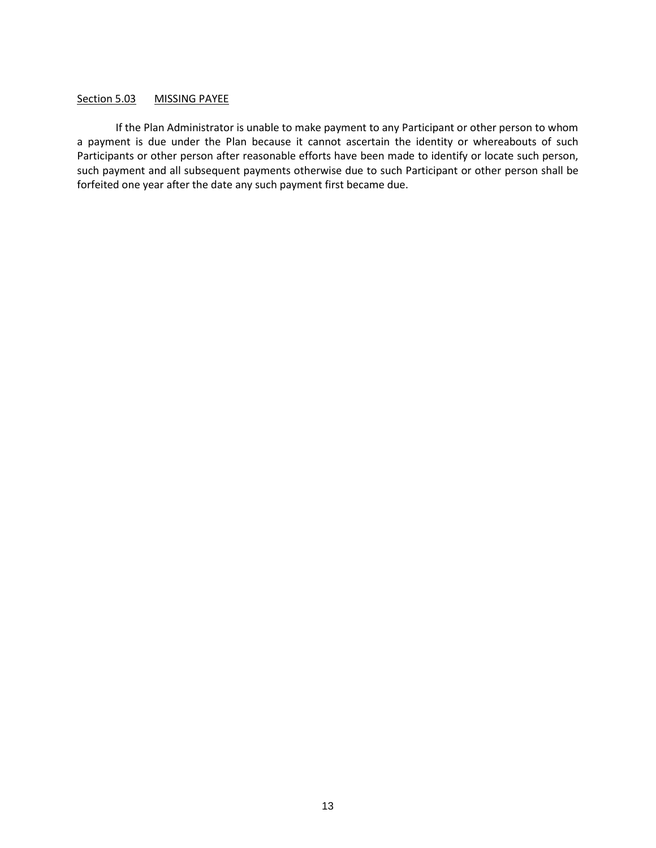## Section 5.03 MISSING PAYEE

If the Plan Administrator is unable to make payment to any Participant or other person to whom a payment is due under the Plan because it cannot ascertain the identity or whereabouts of such Participants or other person after reasonable efforts have been made to identify or locate such person, such payment and all subsequent payments otherwise due to such Participant or other person shall be forfeited one year after the date any such payment first became due.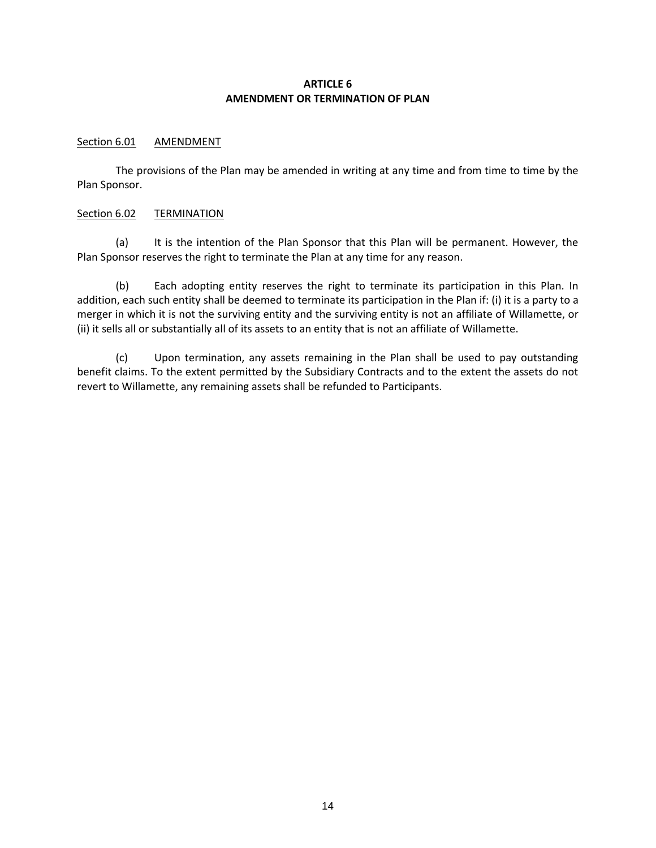# **ARTICLE 6 AMENDMENT OR TERMINATION OF PLAN**

## Section 6.01 AMENDMENT

The provisions of the Plan may be amended in writing at any time and from time to time by the Plan Sponsor.

## Section 6.02 TERMINATION

(a) It is the intention of the Plan Sponsor that this Plan will be permanent. However, the Plan Sponsor reserves the right to terminate the Plan at any time for any reason.

(b) Each adopting entity reserves the right to terminate its participation in this Plan. In addition, each such entity shall be deemed to terminate its participation in the Plan if: (i) it is a party to a merger in which it is not the surviving entity and the surviving entity is not an affiliate of Willamette, or (ii) it sells all or substantially all of its assets to an entity that is not an affiliate of Willamette.

(c) Upon termination, any assets remaining in the Plan shall be used to pay outstanding benefit claims. To the extent permitted by the Subsidiary Contracts and to the extent the assets do not revert to Willamette, any remaining assets shall be refunded to Participants.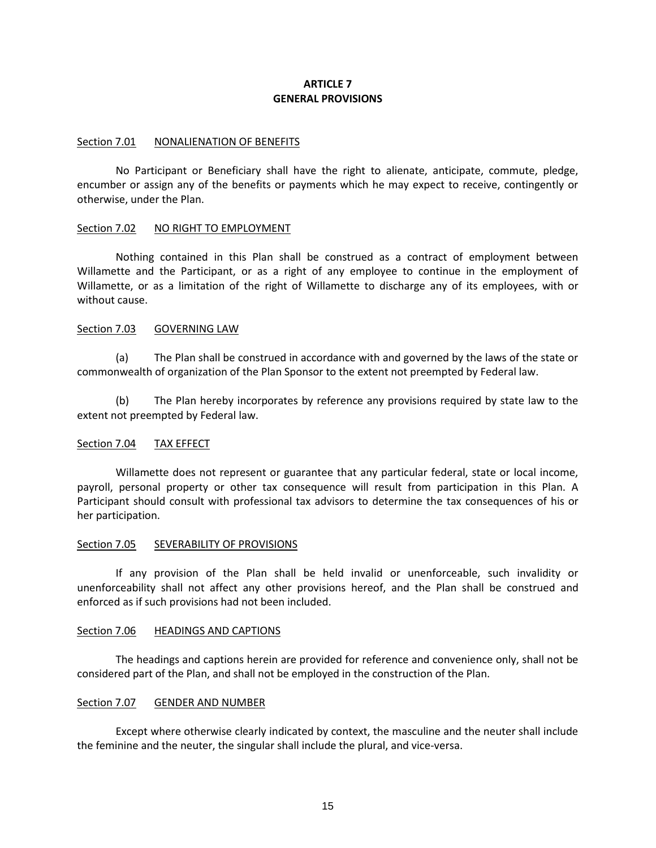# **ARTICLE 7 GENERAL PROVISIONS**

#### Section 7.01 NONALIENATION OF BENEFITS

No Participant or Beneficiary shall have the right to alienate, anticipate, commute, pledge, encumber or assign any of the benefits or payments which he may expect to receive, contingently or otherwise, under the Plan.

#### Section 7.02 NO RIGHT TO EMPLOYMENT

Nothing contained in this Plan shall be construed as a contract of employment between Willamette and the Participant, or as a right of any employee to continue in the employment of Willamette, or as a limitation of the right of Willamette to discharge any of its employees, with or without cause.

#### Section 7.03 GOVERNING LAW

(a) The Plan shall be construed in accordance with and governed by the laws of the state or commonwealth of organization of the Plan Sponsor to the extent not preempted by Federal law.

(b) The Plan hereby incorporates by reference any provisions required by state law to the extent not preempted by Federal law.

## Section 7.04 TAX EFFECT

Willamette does not represent or guarantee that any particular federal, state or local income, payroll, personal property or other tax consequence will result from participation in this Plan. A Participant should consult with professional tax advisors to determine the tax consequences of his or her participation.

#### Section 7.05 SEVERABILITY OF PROVISIONS

If any provision of the Plan shall be held invalid or unenforceable, such invalidity or unenforceability shall not affect any other provisions hereof, and the Plan shall be construed and enforced as if such provisions had not been included.

#### Section 7.06 HEADINGS AND CAPTIONS

The headings and captions herein are provided for reference and convenience only, shall not be considered part of the Plan, and shall not be employed in the construction of the Plan.

#### Section 7.07 GENDER AND NUMBER

Except where otherwise clearly indicated by context, the masculine and the neuter shall include the feminine and the neuter, the singular shall include the plural, and vice-versa.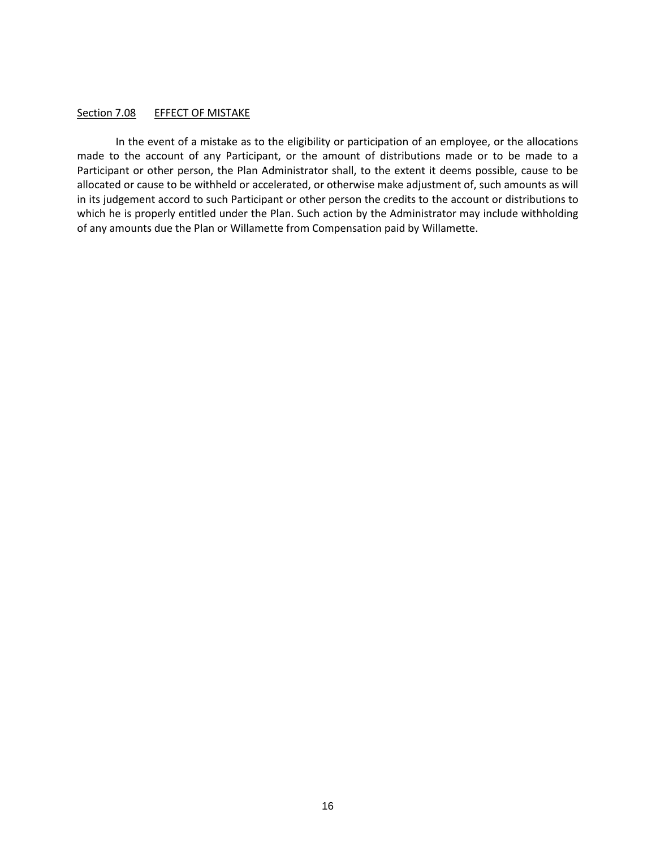#### Section 7.08 EFFECT OF MISTAKE

In the event of a mistake as to the eligibility or participation of an employee, or the allocations made to the account of any Participant, or the amount of distributions made or to be made to a Participant or other person, the Plan Administrator shall, to the extent it deems possible, cause to be allocated or cause to be withheld or accelerated, or otherwise make adjustment of, such amounts as will in its judgement accord to such Participant or other person the credits to the account or distributions to which he is properly entitled under the Plan. Such action by the Administrator may include withholding of any amounts due the Plan or Willamette from Compensation paid by Willamette.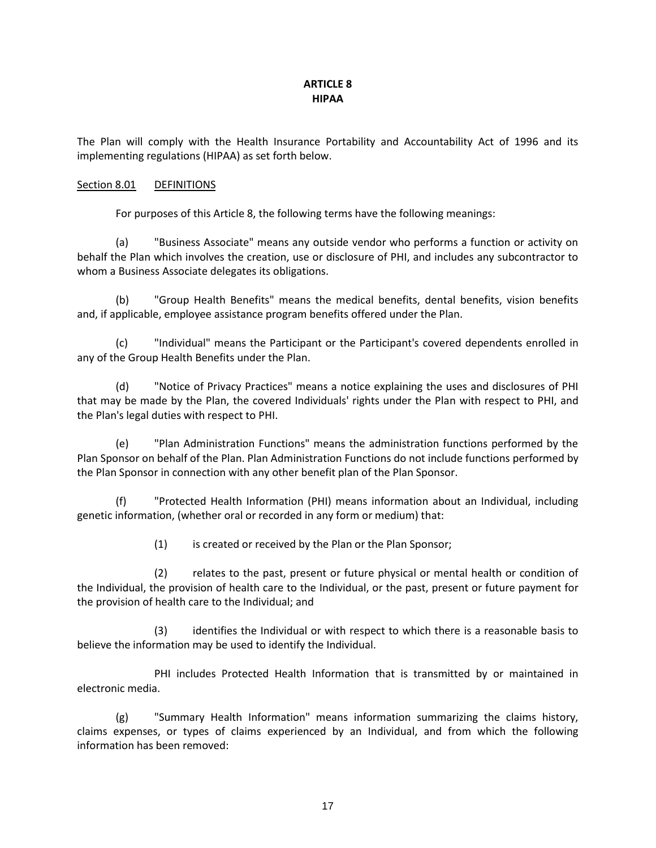# **ARTICLE 8 HIPAA**

The Plan will comply with the Health Insurance Portability and Accountability Act of 1996 and its implementing regulations (HIPAA) as set forth below.

# Section 8.01 DEFINITIONS

For purposes of this Article 8, the following terms have the following meanings:

(a) "Business Associate" means any outside vendor who performs a function or activity on behalf the Plan which involves the creation, use or disclosure of PHI, and includes any subcontractor to whom a Business Associate delegates its obligations.

(b) "Group Health Benefits" means the medical benefits, dental benefits, vision benefits and, if applicable, employee assistance program benefits offered under the Plan.

(c) "Individual" means the Participant or the Participant's covered dependents enrolled in any of the Group Health Benefits under the Plan.

(d) "Notice of Privacy Practices" means a notice explaining the uses and disclosures of PHI that may be made by the Plan, the covered Individuals' rights under the Plan with respect to PHI, and the Plan's legal duties with respect to PHI.

(e) "Plan Administration Functions" means the administration functions performed by the Plan Sponsor on behalf of the Plan. Plan Administration Functions do not include functions performed by the Plan Sponsor in connection with any other benefit plan of the Plan Sponsor.

(f) "Protected Health Information (PHI) means information about an Individual, including genetic information, (whether oral or recorded in any form or medium) that:

(1) is created or received by the Plan or the Plan Sponsor;

(2) relates to the past, present or future physical or mental health or condition of the Individual, the provision of health care to the Individual, or the past, present or future payment for the provision of health care to the Individual; and

(3) identifies the Individual or with respect to which there is a reasonable basis to believe the information may be used to identify the Individual.

PHI includes Protected Health Information that is transmitted by or maintained in electronic media.

(g) "Summary Health Information" means information summarizing the claims history, claims expenses, or types of claims experienced by an Individual, and from which the following information has been removed: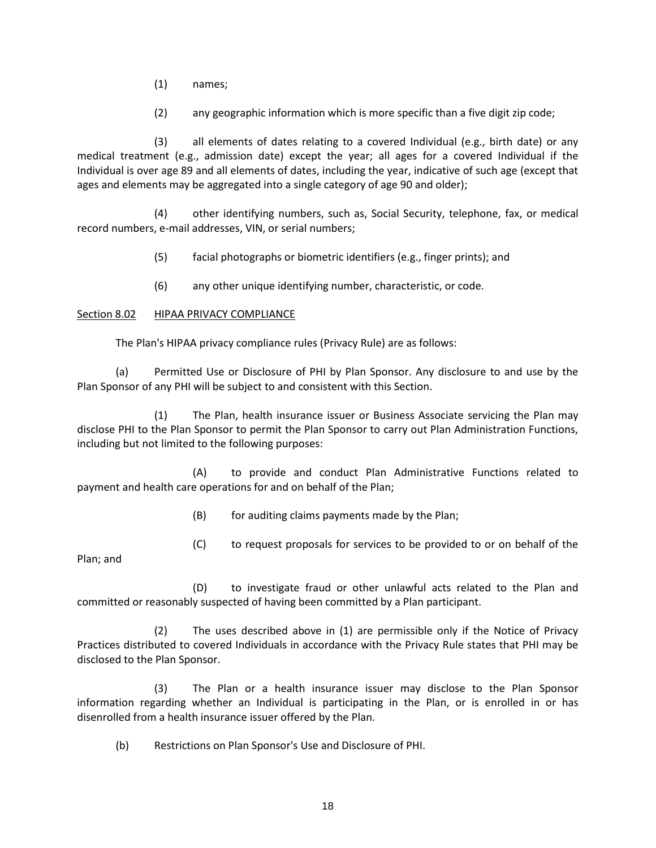- (1) names;
- (2) any geographic information which is more specific than a five digit zip code;

(3) all elements of dates relating to a covered Individual (e.g., birth date) or any medical treatment (e.g., admission date) except the year; all ages for a covered Individual if the Individual is over age 89 and all elements of dates, including the year, indicative of such age (except that ages and elements may be aggregated into a single category of age 90 and older);

(4) other identifying numbers, such as, Social Security, telephone, fax, or medical record numbers, e-mail addresses, VIN, or serial numbers;

- (5) facial photographs or biometric identifiers (e.g., finger prints); and
- (6) any other unique identifying number, characteristic, or code.

# Section 8.02 HIPAA PRIVACY COMPLIANCE

The Plan's HIPAA privacy compliance rules (Privacy Rule) are as follows:

(a) Permitted Use or Disclosure of PHI by Plan Sponsor. Any disclosure to and use by the Plan Sponsor of any PHI will be subject to and consistent with this Section.

(1) The Plan, health insurance issuer or Business Associate servicing the Plan may disclose PHI to the Plan Sponsor to permit the Plan Sponsor to carry out Plan Administration Functions, including but not limited to the following purposes:

(A) to provide and conduct Plan Administrative Functions related to payment and health care operations for and on behalf of the Plan;

(B) for auditing claims payments made by the Plan;

(C) to request proposals for services to be provided to or on behalf of the

Plan; and

(D) to investigate fraud or other unlawful acts related to the Plan and committed or reasonably suspected of having been committed by a Plan participant.

(2) The uses described above in (1) are permissible only if the Notice of Privacy Practices distributed to covered Individuals in accordance with the Privacy Rule states that PHI may be disclosed to the Plan Sponsor.

(3) The Plan or a health insurance issuer may disclose to the Plan Sponsor information regarding whether an Individual is participating in the Plan, or is enrolled in or has disenrolled from a health insurance issuer offered by the Plan.

(b) Restrictions on Plan Sponsor's Use and Disclosure of PHI.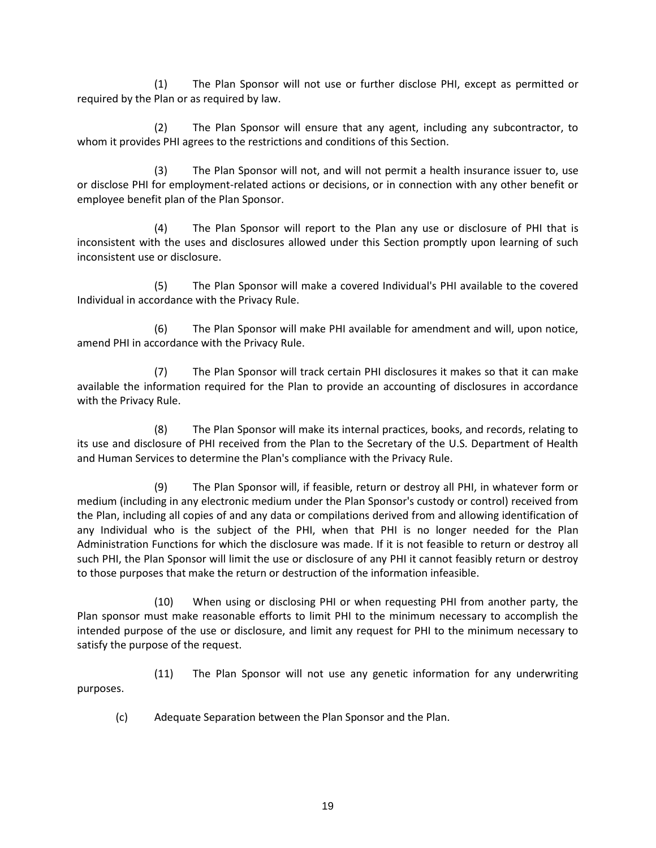(1) The Plan Sponsor will not use or further disclose PHI, except as permitted or required by the Plan or as required by law.

(2) The Plan Sponsor will ensure that any agent, including any subcontractor, to whom it provides PHI agrees to the restrictions and conditions of this Section.

(3) The Plan Sponsor will not, and will not permit a health insurance issuer to, use or disclose PHI for employment-related actions or decisions, or in connection with any other benefit or employee benefit plan of the Plan Sponsor.

(4) The Plan Sponsor will report to the Plan any use or disclosure of PHI that is inconsistent with the uses and disclosures allowed under this Section promptly upon learning of such inconsistent use or disclosure.

(5) The Plan Sponsor will make a covered Individual's PHI available to the covered Individual in accordance with the Privacy Rule.

(6) The Plan Sponsor will make PHI available for amendment and will, upon notice, amend PHI in accordance with the Privacy Rule.

(7) The Plan Sponsor will track certain PHI disclosures it makes so that it can make available the information required for the Plan to provide an accounting of disclosures in accordance with the Privacy Rule.

(8) The Plan Sponsor will make its internal practices, books, and records, relating to its use and disclosure of PHI received from the Plan to the Secretary of the U.S. Department of Health and Human Services to determine the Plan's compliance with the Privacy Rule.

(9) The Plan Sponsor will, if feasible, return or destroy all PHI, in whatever form or medium (including in any electronic medium under the Plan Sponsor's custody or control) received from the Plan, including all copies of and any data or compilations derived from and allowing identification of any Individual who is the subject of the PHI, when that PHI is no longer needed for the Plan Administration Functions for which the disclosure was made. If it is not feasible to return or destroy all such PHI, the Plan Sponsor will limit the use or disclosure of any PHI it cannot feasibly return or destroy to those purposes that make the return or destruction of the information infeasible.

(10) When using or disclosing PHI or when requesting PHI from another party, the Plan sponsor must make reasonable efforts to limit PHI to the minimum necessary to accomplish the intended purpose of the use or disclosure, and limit any request for PHI to the minimum necessary to satisfy the purpose of the request.

(11) The Plan Sponsor will not use any genetic information for any underwriting purposes.

(c) Adequate Separation between the Plan Sponsor and the Plan.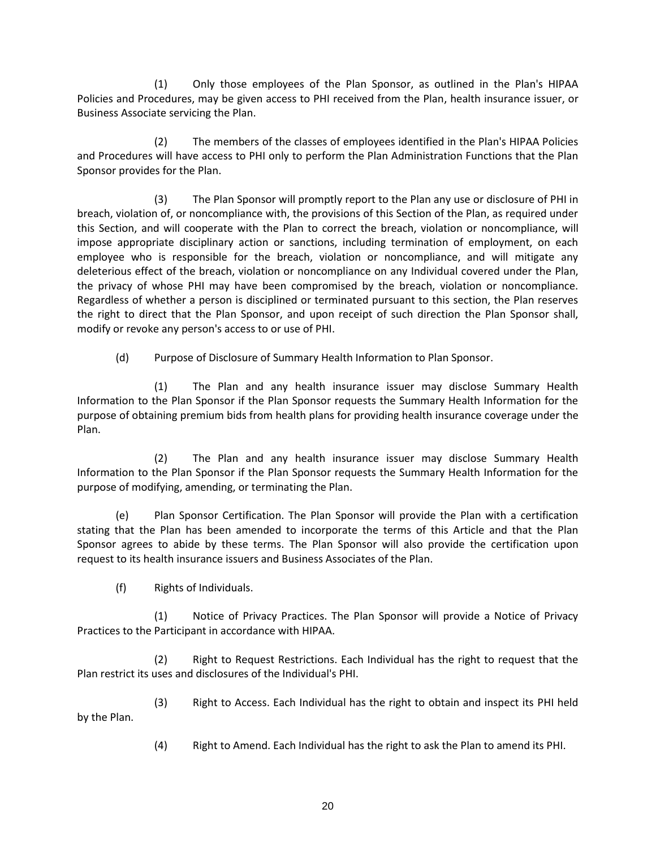(1) Only those employees of the Plan Sponsor, as outlined in the Plan's HIPAA Policies and Procedures, may be given access to PHI received from the Plan, health insurance issuer, or Business Associate servicing the Plan.

(2) The members of the classes of employees identified in the Plan's HIPAA Policies and Procedures will have access to PHI only to perform the Plan Administration Functions that the Plan Sponsor provides for the Plan.

(3) The Plan Sponsor will promptly report to the Plan any use or disclosure of PHI in breach, violation of, or noncompliance with, the provisions of this Section of the Plan, as required under this Section, and will cooperate with the Plan to correct the breach, violation or noncompliance, will impose appropriate disciplinary action or sanctions, including termination of employment, on each employee who is responsible for the breach, violation or noncompliance, and will mitigate any deleterious effect of the breach, violation or noncompliance on any Individual covered under the Plan, the privacy of whose PHI may have been compromised by the breach, violation or noncompliance. Regardless of whether a person is disciplined or terminated pursuant to this section, the Plan reserves the right to direct that the Plan Sponsor, and upon receipt of such direction the Plan Sponsor shall, modify or revoke any person's access to or use of PHI.

(d) Purpose of Disclosure of Summary Health Information to Plan Sponsor.

(1) The Plan and any health insurance issuer may disclose Summary Health Information to the Plan Sponsor if the Plan Sponsor requests the Summary Health Information for the purpose of obtaining premium bids from health plans for providing health insurance coverage under the Plan.

(2) The Plan and any health insurance issuer may disclose Summary Health Information to the Plan Sponsor if the Plan Sponsor requests the Summary Health Information for the purpose of modifying, amending, or terminating the Plan.

(e) Plan Sponsor Certification. The Plan Sponsor will provide the Plan with a certification stating that the Plan has been amended to incorporate the terms of this Article and that the Plan Sponsor agrees to abide by these terms. The Plan Sponsor will also provide the certification upon request to its health insurance issuers and Business Associates of the Plan.

(f) Rights of Individuals.

(1) Notice of Privacy Practices. The Plan Sponsor will provide a Notice of Privacy Practices to the Participant in accordance with HIPAA.

(2) Right to Request Restrictions. Each Individual has the right to request that the Plan restrict its uses and disclosures of the Individual's PHI.

(3) Right to Access. Each Individual has the right to obtain and inspect its PHI held by the Plan.

(4) Right to Amend. Each Individual has the right to ask the Plan to amend its PHI.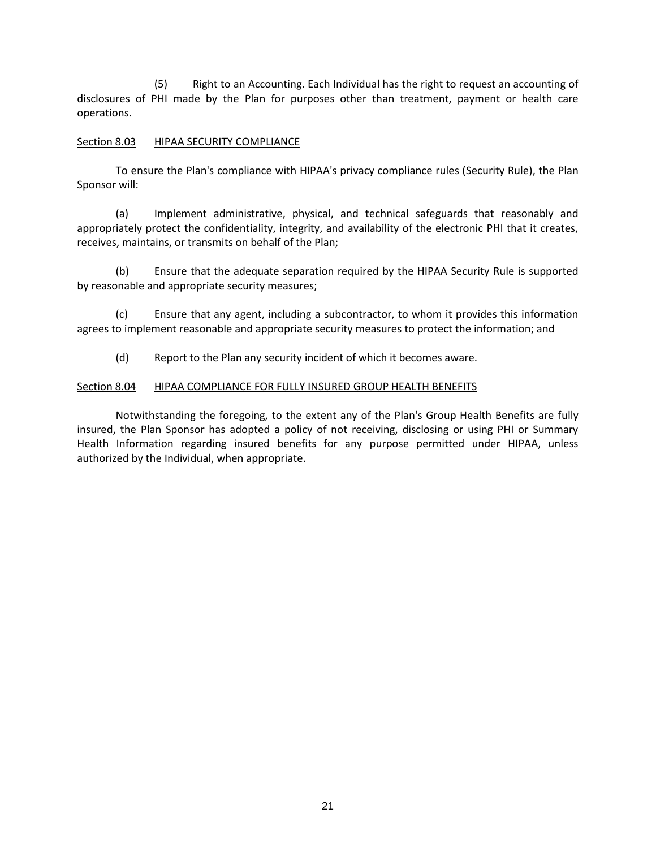(5) Right to an Accounting. Each Individual has the right to request an accounting of disclosures of PHI made by the Plan for purposes other than treatment, payment or health care operations.

# Section 8.03 HIPAA SECURITY COMPLIANCE

To ensure the Plan's compliance with HIPAA's privacy compliance rules (Security Rule), the Plan Sponsor will:

(a) Implement administrative, physical, and technical safeguards that reasonably and appropriately protect the confidentiality, integrity, and availability of the electronic PHI that it creates, receives, maintains, or transmits on behalf of the Plan;

(b) Ensure that the adequate separation required by the HIPAA Security Rule is supported by reasonable and appropriate security measures;

(c) Ensure that any agent, including a subcontractor, to whom it provides this information agrees to implement reasonable and appropriate security measures to protect the information; and

(d) Report to the Plan any security incident of which it becomes aware.

# Section 8.04 HIPAA COMPLIANCE FOR FULLY INSURED GROUP HEALTH BENEFITS

Notwithstanding the foregoing, to the extent any of the Plan's Group Health Benefits are fully insured, the Plan Sponsor has adopted a policy of not receiving, disclosing or using PHI or Summary Health Information regarding insured benefits for any purpose permitted under HIPAA, unless authorized by the Individual, when appropriate.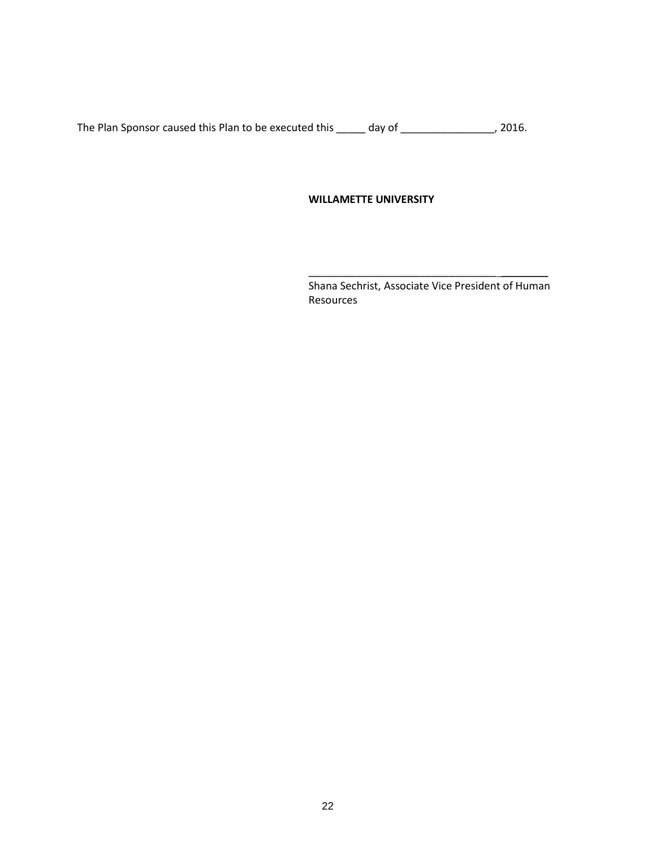The Plan Sponsor caused this Plan to be executed this \_\_\_\_\_ day of \_\_\_\_\_\_\_\_\_\_\_\_\_\_\_, 2016.

## **WILLAMETTE UNIVERSITY**

\_\_\_\_\_\_\_\_\_\_\_\_\_\_\_\_\_\_\_\_\_\_\_\_\_\_\_\_\_\_\_\_ \_\_\_\_\_\_\_\_ Shana Sechrist, Associate Vice President of Human Resources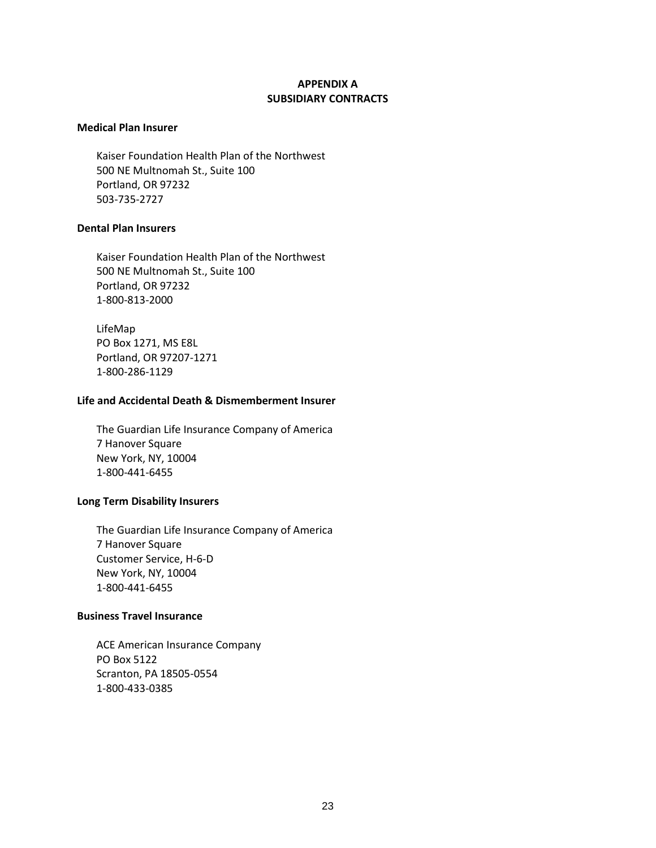# **APPENDIX A SUBSIDIARY CONTRACTS**

### **Medical Plan Insurer**

Kaiser Foundation Health Plan of the Northwest 500 NE Multnomah St., Suite 100 Portland, OR 97232 503-735-2727

## **Dental Plan Insurers**

Kaiser Foundation Health Plan of the Northwest 500 NE Multnomah St., Suite 100 Portland, OR 97232 1-800-813-2000

LifeMap PO Box 1271, MS E8L Portland, OR 97207-1271 1-800-286-1129

## **Life and Accidental Death & Dismemberment Insurer**

The Guardian Life Insurance Company of America 7 Hanover Square New York, NY, 10004 1-800-441-6455

## **Long Term Disability Insurers**

The Guardian Life Insurance Company of America 7 Hanover Square Customer Service, H-6-D New York, NY, 10004 1-800-441-6455

#### **Business Travel Insurance**

ACE American Insurance Company PO Box 5122 Scranton, PA 18505-0554 1-800-433-0385